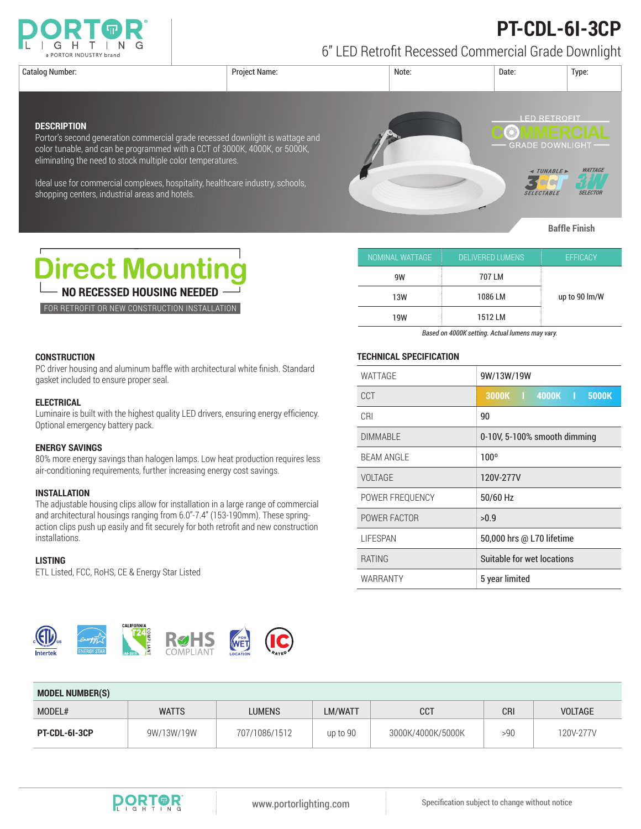

# **PT-CDL-6I-3CP**

6" LED Retrofit Recessed Commercial Grade Downlight

**DESCRIPTION**



| NOMINAL WATTAGE | DELIVERED LUMENS | <b>EFFICACY</b> |  |
|-----------------|------------------|-----------------|--|
| 9W              | 707 LM           |                 |  |
| 13W             | 1086 LM          | up to 90 lm/W   |  |
| 19W             | 1512 LM          |                 |  |

*Based on 4000K setting. Actual lumens may vary.*

## **TECHNICAL SPECIFICATION**

| WATTAGE           | 9W/13W/19W                   |  |  |
|-------------------|------------------------------|--|--|
| CCT               | 3000K   4000K  <br>5000K     |  |  |
| CRI               | 90                           |  |  |
| <b>DIMMABLE</b>   | 0-10V, 5-100% smooth dimming |  |  |
| <b>BEAM ANGLE</b> | $100^{\circ}$                |  |  |
| VOLTAGE           | 120V-277V                    |  |  |
| POWER FREQUENCY   | 50/60 Hz                     |  |  |
| POWER FACTOR      | >0.9                         |  |  |
| <b>LIFESPAN</b>   | 50,000 hrs @ L70 lifetime    |  |  |
| <b>RATING</b>     | Suitable for wet locations   |  |  |
| WARRANTY          | 5 year limited               |  |  |

| Dinaat Mauntina |  |  |
|-----------------|--|--|

eliminating the need to stock multiple color temperatures.

shopping centers, industrial areas and hotels.

**DIFECT MOUNTING NO RECESSED HOUSING NEEDED** 

FOR RETROFIT OR NEW CONSTRUCTION INSTALLATION

# **CONSTRUCTION**

PC driver housing and aluminum baffle with architectural white finish. Standard gasket included to ensure proper seal.

Portor's second generation commercial grade recessed downlight is wattage and color tunable, and can be programmed with a CCT of 3000K, 4000K, or 5000K,

Ideal use for commercial complexes, hospitality, healthcare industry, schools,

### **ELECTRICAL**

Luminaire is built with the highest quality LED drivers, ensuring energy efficiency. Optional emergency battery pack.

#### **ENERGY SAVINGS**

80% more energy savings than halogen lamps. Low heat production requires less air-conditioning requirements, further increasing energy cost savings.

## **INSTALLATION**

The adjustable housing clips allow for installation in a large range of commercial and architectural housings ranging from 6.0"-7.4" (153-190mm). These springaction clips push up easily and fit securely for both retrofit and new construction installations.

#### **LISTING**

ETL Listed, FCC, RoHS, CE & Energy Star Listed



| <b>MODEL NUMBER(S)</b> |              |               |          |                   |     |                |  |  |
|------------------------|--------------|---------------|----------|-------------------|-----|----------------|--|--|
| MODEL#                 | <b>WATTS</b> | <b>LUMENS</b> | LM/WATT  | <b>CCT</b>        | CRI | <b>VOLTAGE</b> |  |  |
| PT-CDL-61-3CP          | 9W/13W/19W   | 707/1086/1512 | up to 90 | 3000K/4000K/5000K | >90 | 120V-277V      |  |  |